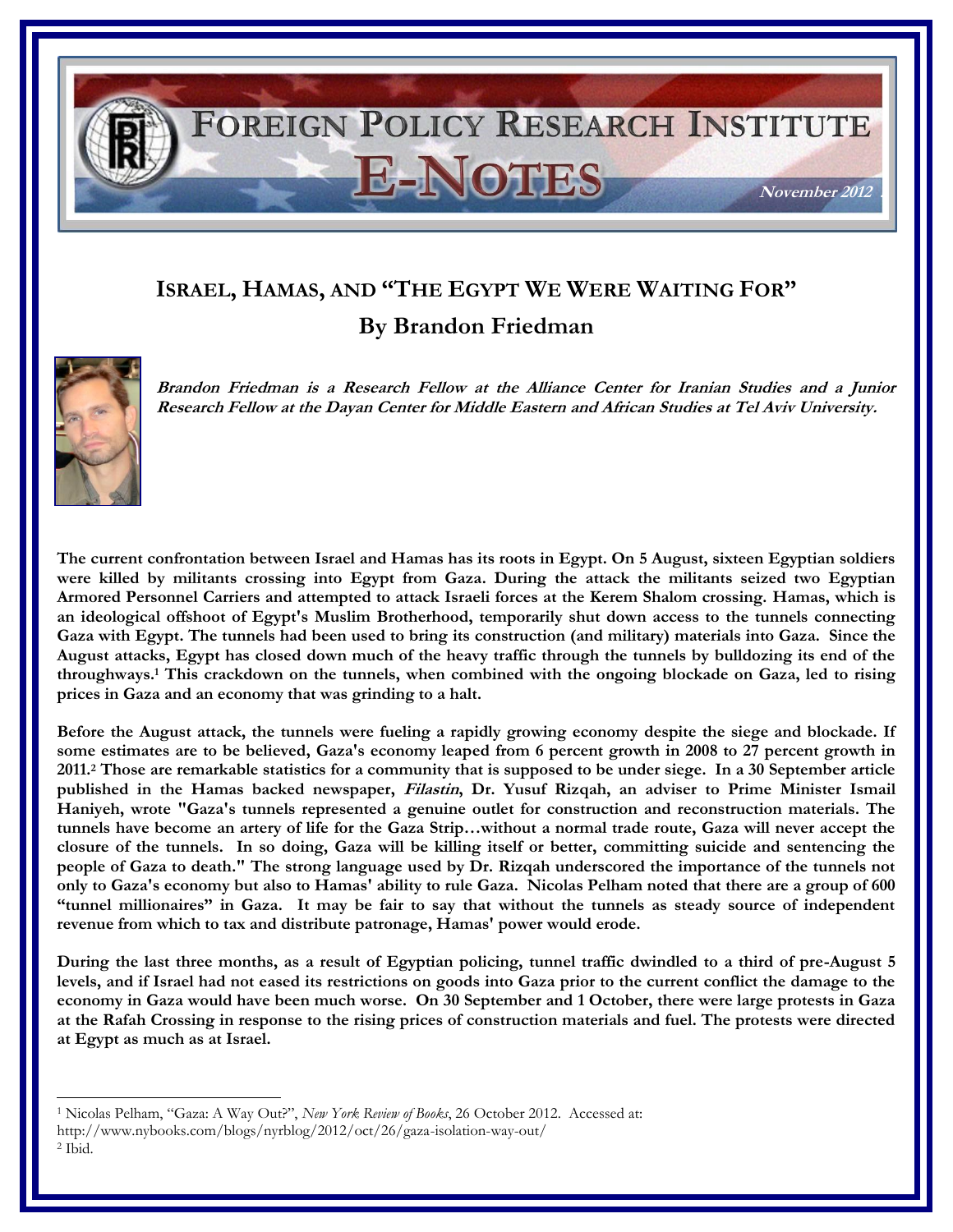## FOREIGN POLICY RESEARCH INSTITUTE E-NOTES **November 2012 .**

## **ISRAEL, HAMAS, AND "THE EGYPT WE WERE WAITING FOR" By Brandon Friedman**



**Brandon Friedman is a Research Fellow at the Alliance Center for Iranian Studies and a Junior Research Fellow at the Dayan Center for Middle Eastern and African Studies at Tel Aviv University.**

**The current confrontation between Israel and Hamas has its roots in Egypt. On 5 August, sixteen Egyptian soldiers were killed by militants crossing into Egypt from Gaza. During the attack the militants seized two Egyptian Armored Personnel Carriers and attempted to attack Israeli forces at the Kerem Shalom crossing. Hamas, which is an ideological offshoot of Egypt's Muslim Brotherhood, temporarily shut down access to the tunnels connecting Gaza with Egypt. The tunnels had been used to bring its construction (and military) materials into Gaza. Since the August attacks, Egypt has closed down much of the heavy traffic through the tunnels by bulldozing its end of the throughways.<sup>1</sup> This crackdown on the tunnels, when combined with the ongoing blockade on Gaza, led to rising prices in Gaza and an economy that was grinding to a halt.**

**Before the August attack, the tunnels were fueling a rapidly growing economy despite the siege and blockade. If some estimates are to be believed, Gaza's economy leaped from 6 percent growth in 2008 to 27 percent growth in 2011.<sup>2</sup> Those are remarkable statistics for a community that is supposed to be under siege. In a 30 September article published in the Hamas backed newspaper, Filastin, Dr. Yusuf Rizqah, an adviser to Prime Minister Ismail Haniyeh, wrote "Gaza's tunnels represented a genuine outlet for construction and reconstruction materials. The tunnels have become an artery of life for the Gaza Strip…without a normal trade route, Gaza will never accept the closure of the tunnels. In so doing, Gaza will be killing itself or better, committing suicide and sentencing the people of Gaza to death." The strong language used by Dr. Rizqah underscored the importance of the tunnels not only to Gaza's economy but also to Hamas' ability to rule Gaza. Nicolas Pelham noted that there are a group of 600 "tunnel millionaires" in Gaza. It may be fair to say that without the tunnels as steady source of independent revenue from which to tax and distribute patronage, Hamas' power would erode.** 

**During the last three months, as a result of Egyptian policing, tunnel traffic dwindled to a third of pre-August 5 levels, and if Israel had not eased its restrictions on goods into Gaza prior to the current conflict the damage to the economy in Gaza would have been much worse. On 30 September and 1 October, there were large protests in Gaza at the Rafah Crossing in response to the rising prices of construction materials and fuel. The protests were directed at Egypt as much as at Israel.** 

l <sup>1</sup> Nicolas Pelham, "Gaza: A Way Out?", *New York Review of Books*, 26 October 2012. Accessed at: http://www.nybooks.com/blogs/nyrblog/2012/oct/26/gaza-isolation-way-out/ <sup>2</sup> Ibid.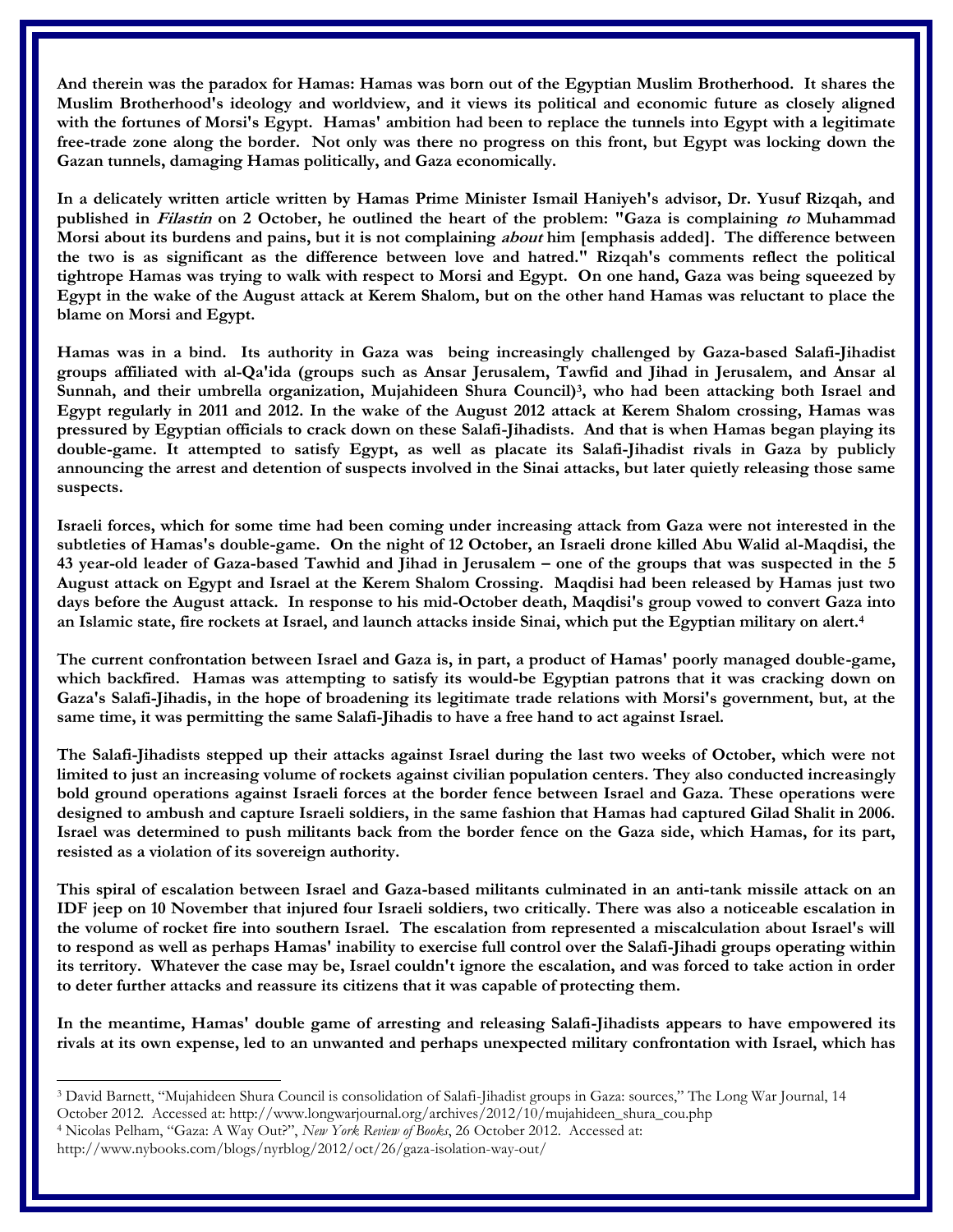**And therein was the paradox for Hamas: Hamas was born out of the Egyptian Muslim Brotherhood. It shares the Muslim Brotherhood's ideology and worldview, and it views its political and economic future as closely aligned with the fortunes of Morsi's Egypt. Hamas' ambition had been to replace the tunnels into Egypt with a legitimate free-trade zone along the border. Not only was there no progress on this front, but Egypt was locking down the Gazan tunnels, damaging Hamas politically, and Gaza economically.**

**In a delicately written article written by Hamas Prime Minister Ismail Haniyeh's advisor, Dr. Yusuf Rizqah, and published in Filastin on 2 October, he outlined the heart of the problem: "Gaza is complaining to Muhammad Morsi about its burdens and pains, but it is not complaining about him [emphasis added]. The difference between the two is as significant as the difference between love and hatred." Rizqah's comments reflect the political tightrope Hamas was trying to walk with respect to Morsi and Egypt. On one hand, Gaza was being squeezed by Egypt in the wake of the August attack at Kerem Shalom, but on the other hand Hamas was reluctant to place the blame on Morsi and Egypt.** 

**Hamas was in a bind. Its authority in Gaza was being increasingly challenged by Gaza-based Salafi-Jihadist groups affiliated with al-Qa'ida (groups such as Ansar Jerusalem, Tawfid and Jihad in Jerusalem, and Ansar al Sunnah, and their umbrella organization, Mujahideen Shura Council)<sup>3</sup> , who had been attacking both Israel and Egypt regularly in 2011 and 2012. In the wake of the August 2012 attack at Kerem Shalom crossing, Hamas was pressured by Egyptian officials to crack down on these Salafi-Jihadists. And that is when Hamas began playing its double-game. It attempted to satisfy Egypt, as well as placate its Salafi-Jihadist rivals in Gaza by publicly announcing the arrest and detention of suspects involved in the Sinai attacks, but later quietly releasing those same suspects.**

**Israeli forces, which for some time had been coming under increasing attack from Gaza were not interested in the subtleties of Hamas's double-game. On the night of 12 October, an Israeli drone killed Abu Walid al-Maqdisi, the 43 year-old leader of Gaza-based Tawhid and Jihad in Jerusalem – one of the groups that was suspected in the 5 August attack on Egypt and Israel at the Kerem Shalom Crossing. Maqdisi had been released by Hamas just two days before the August attack. In response to his mid-October death, Maqdisi's group vowed to convert Gaza into an Islamic state, fire rockets at Israel, and launch attacks inside Sinai, which put the Egyptian military on alert.<sup>4</sup>**

**The current confrontation between Israel and Gaza is, in part, a product of Hamas' poorly managed double-game, which backfired. Hamas was attempting to satisfy its would-be Egyptian patrons that it was cracking down on Gaza's Salafi-Jihadis, in the hope of broadening its legitimate trade relations with Morsi's government, but, at the same time, it was permitting the same Salafi-Jihadis to have a free hand to act against Israel.**

**The Salafi-Jihadists stepped up their attacks against Israel during the last two weeks of October, which were not limited to just an increasing volume of rockets against civilian population centers. They also conducted increasingly bold ground operations against Israeli forces at the border fence between Israel and Gaza. These operations were designed to ambush and capture Israeli soldiers, in the same fashion that Hamas had captured Gilad Shalit in 2006. Israel was determined to push militants back from the border fence on the Gaza side, which Hamas, for its part, resisted as a violation of its sovereign authority.**

**This spiral of escalation between Israel and Gaza-based militants culminated in an anti-tank missile attack on an IDF jeep on 10 November that injured four Israeli soldiers, two critically. There was also a noticeable escalation in the volume of rocket fire into southern Israel. The escalation from represented a miscalculation about Israel's will to respond as well as perhaps Hamas' inability to exercise full control over the Salafi-Jihadi groups operating within its territory. Whatever the case may be, Israel couldn't ignore the escalation, and was forced to take action in order to deter further attacks and reassure its citizens that it was capable of protecting them.**

**In the meantime, Hamas' double game of arresting and releasing Salafi-Jihadists appears to have empowered its rivals at its own expense, led to an unwanted and perhaps unexpected military confrontation with Israel, which has** 

l

<sup>3</sup> David Barnett, "Mujahideen Shura Council is consolidation of Salafi-Jihadist groups in Gaza: sources," The Long War Journal, 14 October 2012. Accessed at: http://www.longwarjournal.org/archives/2012/10/mujahideen\_shura\_cou.php

<sup>4</sup> Nicolas Pelham, "Gaza: A Way Out?", *New York Review of Books*, 26 October 2012. Accessed at:

http://www.nybooks.com/blogs/nyrblog/2012/oct/26/gaza-isolation-way-out/